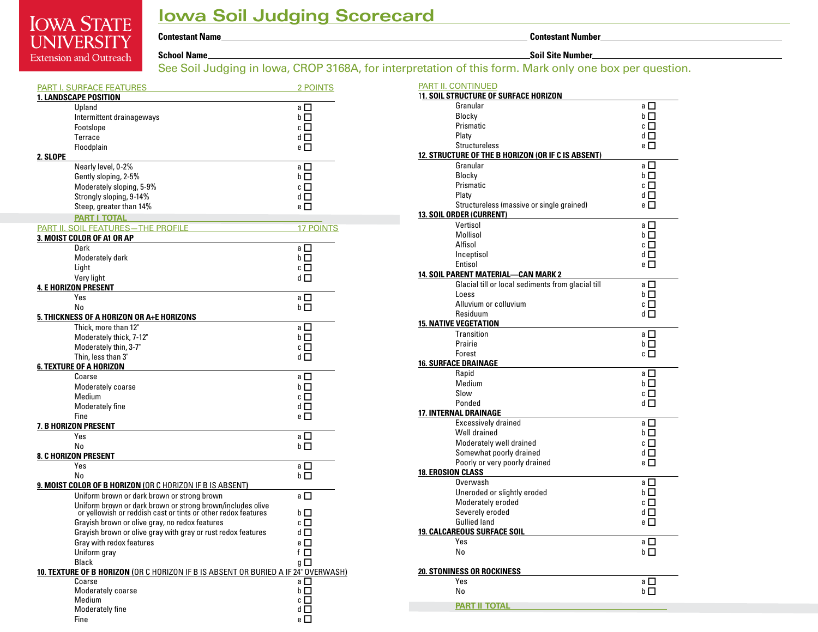## **Iowa Soil Judging Scorecard**

**IOWA STATE UNIVERSITY School Name Soil Site Number Extension and Outreach** 

**Contestant Name Contestant Number**

See Soil Judging in Iowa, CROP 3168A, for interpretation of this form. Mark only one box per question.

|          | <b>PART I. SURFACE FEATURES</b>                                                                                             | <b>2 POINTS</b>  |
|----------|-----------------------------------------------------------------------------------------------------------------------------|------------------|
|          | <b>1. LANDSCAPE POSITION</b>                                                                                                |                  |
|          | Upland                                                                                                                      | a ⊡              |
|          | Intermittent drainageways                                                                                                   | bГI              |
|          | Footslope                                                                                                                   | cЦ               |
|          | <b>Terrace</b>                                                                                                              | dΠ               |
|          | Floodplain                                                                                                                  | e I              |
| 2. SLOPE |                                                                                                                             |                  |
|          | Nearly level, 0-2%                                                                                                          | all              |
|          | Gently sloping, 2-5%                                                                                                        | bП               |
|          | Moderately sloping, 5-9%                                                                                                    | cП               |
|          | Strongly sloping, 9-14%                                                                                                     | dП               |
|          | Steep, greater than 14%                                                                                                     | e I              |
|          | <b>PART I TOTAL</b>                                                                                                         |                  |
|          | PART II. SOIL FEATURES-THE PROFILE                                                                                          | <b>17 POINTS</b> |
|          | 3. MOIST COLOR OF A1 OR AP                                                                                                  |                  |
|          | Dark                                                                                                                        | a □              |
|          | Moderately dark                                                                                                             | bП               |
|          | Light                                                                                                                       | CII              |
|          | Very light                                                                                                                  | d I              |
|          | 4. E HORIZON PRESENT                                                                                                        |                  |
|          | Yes                                                                                                                         | a □              |
|          | N <sub>o</sub>                                                                                                              | bП               |
|          | 5. THICKNESS OF A HORIZON OR A+E HORIZONS                                                                                   |                  |
|          | Thick, more than 12"                                                                                                        | aП               |
|          | Moderately thick, 7-12"                                                                                                     | bП               |
|          | Moderately thin, 3-7"                                                                                                       | cП               |
|          | Thin, less than 3"                                                                                                          | dΠ               |
|          | 6. TEXTURE OF A HORIZON                                                                                                     |                  |
|          | Coarse                                                                                                                      | a $\square$      |
|          | Moderately coarse                                                                                                           | bП               |
|          | Medium                                                                                                                      | cП               |
|          | Moderately fine                                                                                                             | dΠ               |
|          | Fine                                                                                                                        | eП               |
|          | 7. B HORIZON PRESENT                                                                                                        |                  |
|          | Yes                                                                                                                         | aП               |
|          | No                                                                                                                          | bП               |
|          | <b>8. C HORIZON PRESENT</b>                                                                                                 |                  |
|          | Yes                                                                                                                         | a L              |
|          | No                                                                                                                          | bΙ<br>- 1        |
|          | 9. MOIST COLOR OF B HORIZON (OR C HORIZON IF B IS ABSENT)                                                                   |                  |
|          | Uniform brown or dark brown or strong brown                                                                                 | a □              |
|          | Uniform brown or dark brown or strong brown/includes olive<br>or yellowish or reddish cast or tints or other redox features | bП               |
|          | Grayish brown or olive gray, no redox features                                                                              | cП               |
|          | Grayish brown or olive gray with gray or rust redox features                                                                | dП               |
|          | Gray with redox features                                                                                                    | e □              |
|          | Uniform gray                                                                                                                | f □              |
|          | Black                                                                                                                       | g □              |
|          | 10. TEXTURE OF B HORIZON (OR C HORIZON IF B IS ABSENT OR BURIED A IF 24" OVERWASH)                                          |                  |
|          | Coarse                                                                                                                      | a □              |
|          | Moderately coarse                                                                                                           | b□               |
|          | Medium                                                                                                                      | c $\Box$         |
|          | Moderately fine                                                                                                             | dΠ               |
|          | Fine                                                                                                                        | e $\Box$         |

| PART II. CONTINUED                                 |                     |  |  |  |
|----------------------------------------------------|---------------------|--|--|--|
| <b>11. SOIL STRUCTURE OF SURFACE HORIZON</b>       |                     |  |  |  |
| Granular                                           | a □                 |  |  |  |
| Blocky                                             | bП                  |  |  |  |
| Prismatic                                          | cП                  |  |  |  |
| Platy                                              | d□                  |  |  |  |
| <b>Structureless</b>                               | e $\Box$            |  |  |  |
| 12. STRUCTURE OF THE B HORIZON (OR IF C IS ABSENT) |                     |  |  |  |
| Granular                                           | aП                  |  |  |  |
| Blocky                                             | bП                  |  |  |  |
| Prismatic                                          | c $\Box$            |  |  |  |
| Platy                                              | d□                  |  |  |  |
| Structureless (massive or single grained)          | e □                 |  |  |  |
| 13. SOIL ORDER (CURRENT)                           |                     |  |  |  |
| Vertisol                                           | a □                 |  |  |  |
| Mollisol                                           | bП                  |  |  |  |
| Alfisol                                            | $\mathbf{c}$ $\Box$ |  |  |  |
| Inceptisol                                         | d□                  |  |  |  |
| Entisol                                            | e $\Box$            |  |  |  |
| <b>14. SOIL PARENT MATERIAL-CAN MARK 2</b>         |                     |  |  |  |
| Glacial till or local sediments from glacial till  | a □                 |  |  |  |
| Loess                                              | bП                  |  |  |  |
| Alluvium or colluvium                              | cП                  |  |  |  |
| Residuum                                           | dΠ                  |  |  |  |
| <b>15. NATIVE VEGETATION</b>                       |                     |  |  |  |
| Transition                                         | a □                 |  |  |  |
| Prairie                                            | bП                  |  |  |  |
| Forest                                             | $c \, \Box$         |  |  |  |
| <b>16. SURFACE DRAINAGE</b>                        |                     |  |  |  |
| Rapid                                              | a □                 |  |  |  |
| Medium                                             | bП                  |  |  |  |
| Slow                                               | cП                  |  |  |  |
| Ponded                                             | dП                  |  |  |  |
| <b>17. INTERNAL DRAINAGE</b>                       |                     |  |  |  |
| <b>Excessively drained</b>                         | a □                 |  |  |  |
| Well drained                                       | bП                  |  |  |  |
| Moderately well drained                            | cП                  |  |  |  |
| Somewhat poorly drained                            | dП                  |  |  |  |
| Poorly or very poorly drained                      | e $\Box$            |  |  |  |
| <b>18. EROSION CLASS</b>                           |                     |  |  |  |
| Overwash                                           | a □                 |  |  |  |
| Uneroded or slightly eroded                        | bП                  |  |  |  |
| Moderately eroded                                  | cП                  |  |  |  |
| Severely eroded                                    | d□                  |  |  |  |
| <b>Gullied land</b>                                | e □                 |  |  |  |
| <b>19. CALCAREOUS SURFACE SOIL</b>                 |                     |  |  |  |
| Yes                                                | a $\square$         |  |  |  |
| No                                                 | bП                  |  |  |  |
|                                                    |                     |  |  |  |
| <b>20. STONINESS OR ROCKINESS</b>                  |                     |  |  |  |
| Yes                                                | a □                 |  |  |  |
| No                                                 | bП                  |  |  |  |
| <b>PART II TOTAL</b>                               |                     |  |  |  |
|                                                    |                     |  |  |  |